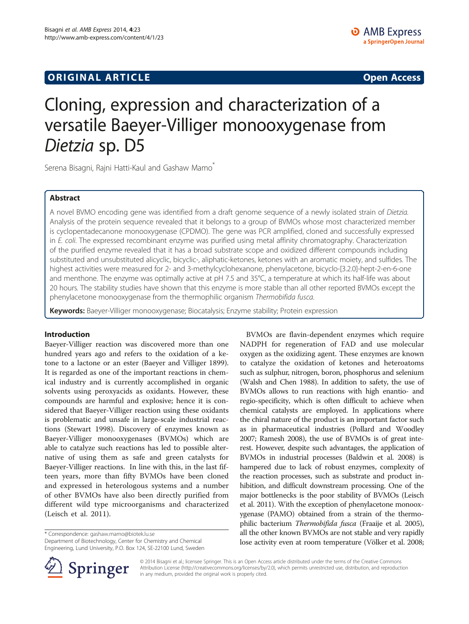# **ORIGINAL ARTICLE CONSERVANCE IN A LOCAL CONSERVANCE IN A LOCAL CONSERVANCE IN A LOCAL CONSERVANCE IN A LOCAL CONSERVANCE IN A LOCAL CONSERVANCE IN A LOCAL CONSERVANCE IN A LOCAL CONSERVANCE IN A LOCAL CONSERVANCE IN A L**

# Cloning, expression and characterization of a versatile Baeyer-Villiger monooxygenase from Dietzia sp. D5

Serena Bisagni, Rajni Hatti-Kaul and Gashaw Mamo<sup>®</sup>

# Abstract

A novel BVMO encoding gene was identified from a draft genome sequence of a newly isolated strain of Dietzia. Analysis of the protein sequence revealed that it belongs to a group of BVMOs whose most characterized member is cyclopentadecanone monooxygenase (CPDMO). The gene was PCR amplified, cloned and successfully expressed in E. coli. The expressed recombinant enzyme was purified using metal affinity chromatography. Characterization of the purified enzyme revealed that it has a broad substrate scope and oxidized different compounds including substituted and unsubstituted alicyclic, bicyclic-, aliphatic-ketones, ketones with an aromatic moiety, and sulfides. The highest activities were measured for 2- and 3-methylcyclohexanone, phenylacetone, bicyclo-[3.2.0]-hept-2-en-6-one and menthone. The enzyme was optimally active at pH 7.5 and 35°C, a temperature at which its half-life was about 20 hours. The stability studies have shown that this enzyme is more stable than all other reported BVMOs except the phenylacetone monooxygenase from the thermophilic organism Thermobifida fusca.

Keywords: Baeyer-Villiger monooxygenase; Biocatalysis; Enzyme stability; Protein expression

# Introduction

Baeyer-Villiger reaction was discovered more than one hundred years ago and refers to the oxidation of a ketone to a lactone or an ester (Baeyer and Villiger [1899](#page-8-0)). It is regarded as one of the important reactions in chemical industry and is currently accomplished in organic solvents using peroxyacids as oxidants. However, these compounds are harmful and explosive; hence it is considered that Baeyer-Villiger reaction using these oxidants is problematic and unsafe in large-scale industrial reactions (Stewart [1998\)](#page-9-0). Discovery of enzymes known as Baeyer-Villiger monooxygenases (BVMOs) which are able to catalyze such reactions has led to possible alternative of using them as safe and green catalysts for Baeyer-Villiger reactions. In line with this, in the last fifteen years, more than fifty BVMOs have been cloned and expressed in heterologous systems and a number of other BVMOs have also been directly purified from different wild type microorganisms and characterized (Leisch et al. [2011](#page-9-0)).

\* Correspondence: [gashaw.mamo@biotek.lu.se](mailto:gashaw.mamo@biotek.lu.se)

Department of Biotechnology, Center for Chemistry and Chemical Engineering, Lund University, P.O. Box 124, SE-22100 Lund, Sweden



BVMOs are flavin-dependent enzymes which require NADPH for regeneration of FAD and use molecular oxygen as the oxidizing agent. These enzymes are known to catalyze the oxidation of ketones and heteroatoms such as sulphur, nitrogen, boron, phosphorus and selenium (Walsh and Chen [1988\)](#page-9-0). In addition to safety, the use of BVMOs allows to run reactions with high enantio- and



© 2014 Bisagni et al.; licensee Springer. This is an Open Access article distributed under the terms of the Creative Commons Attribution License (http://creativecommons.org/licenses/by/2.0), which permits unrestricted use, distribution, and reproduction in any medium, provided the original work is properly cited.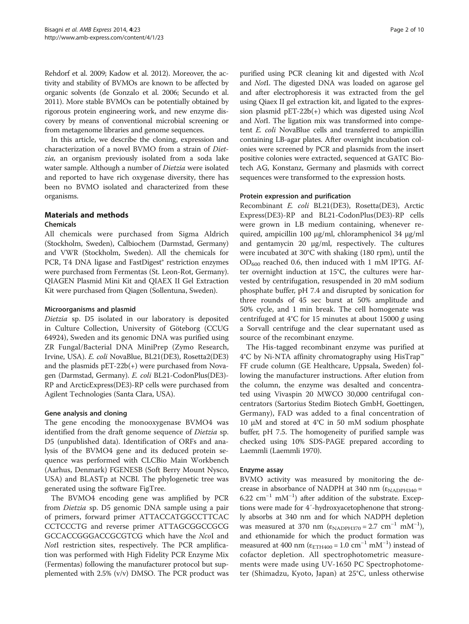Rehdorf et al. [2009](#page-9-0); Kadow et al. [2012\)](#page-9-0). Moreover, the activity and stability of BVMOs are known to be affected by organic solvents (de Gonzalo et al. [2006](#page-9-0); Secundo et al. [2011\)](#page-9-0). More stable BVMOs can be potentially obtained by rigorous protein engineering work, and new enzyme discovery by means of conventional microbial screening or from metagenome libraries and genome sequences.

In this article, we describe the cloning, expression and characterization of a novel BVMO from a strain of Dietzia, an organism previously isolated from a soda lake water sample. Although a number of *Dietzia* were isolated and reported to have rich oxygenase diversity, there has been no BVMO isolated and characterized from these organisms.

# Materials and methods

# Chemicals

All chemicals were purchased from Sigma Aldrich (Stockholm, Sweden), Calbiochem (Darmstad, Germany) and VWR (Stockholm, Sweden). All the chemicals for PCR, T4 DNA ligase and FastDigest® restriction enzymes were purchased from Fermentas (St. Leon-Rot, Germany). QIAGEN Plasmid Mini Kit and QIAEX II Gel Extraction Kit were purchased from Qiagen (Sollentuna, Sweden).

## Microorganisms and plasmid

Dietzia sp. D5 isolated in our laboratory is deposited in Culture Collection, University of Göteborg (CCUG 64924), Sweden and its genomic DNA was purified using ZR Fungal/Bacterial DNA MiniPrep (Zymo Research, Irvine, USA). E. coli NovaBlue, BL21(DE3), Rosetta2(DE3) and the plasmids pET-22b(+) were purchased from Novagen (Darmstad, Germany). E. coli BL21-CodonPlus(DE3)- RP and ArcticExpress(DE3)-RP cells were purchased from Agilent Technologies (Santa Clara, USA).

# Gene analysis and cloning

The gene encoding the monooxygenase BVMO4 was identified from the draft genome sequence of Dietzia sp. D5 (unpublished data). Identification of ORFs and analysis of the BVMO4 gene and its deduced protein sequence was performed with CLCBio Main Workbench (Aarhus, Denmark) FGENESB (Soft Berry Mount Nysco, USA) and BLASTp at NCBI. The phylogenetic tree was generated using the software FigTree.

The BVMO4 encoding gene was amplified by PCR from Dietzia sp. D5 genomic DNA sample using a pair of primers, forward primer ATTACCATGGCCTTCAC CCTCCCTG and reverse primer ATTAGCGGCCGCG GCCACCGGGACCGCGTCG which have the NcoI and NotI restriction sites, respectively. The PCR amplification was performed with High Fidelity PCR Enzyme Mix (Fermentas) following the manufacturer protocol but supplemented with 2.5% (v/v) DMSO. The PCR product was

purified using PCR cleaning kit and digested with NcoI and NotI. The digested DNA was loaded on agarose gel and after electrophoresis it was extracted from the gel using Qiaex II gel extraction kit, and ligated to the expression plasmid  $pET-22b(+)$  which was digested using NcoI and NotI. The ligation mix was transformed into competent E. coli NovaBlue cells and transferred to ampicillin containing LB-agar plates. After overnight incubation colonies were screened by PCR and plasmids from the insert positive colonies were extracted, sequenced at GATC Biotech AG, Konstanz, Germany and plasmids with correct sequences were transformed to the expression hosts.

## Protein expression and purification

Recombinant E. coli BL21(DE3), Rosetta(DE3), Arctic Express(DE3)-RP and BL21-CodonPlus(DE3)-RP cells were grown in LB medium containing, whenever required, ampicillin 100 μg/ml, chloramphenicol 34 μg/ml and gentamycin 20 μg/ml, respectively. The cultures were incubated at 30°C with shaking (180 rpm), until the  $OD_{600}$  reached 0.6, then induced with 1 mM IPTG. After overnight induction at 15°C, the cultures were harvested by centrifugation, resuspended in 20 mM sodium phosphate buffer, pH 7.4 and disrupted by sonication for three rounds of 45 sec burst at 50% amplitude and 50% cycle, and 1 min break. The cell homogenate was centrifuged at 4°C for 15 minutes at about 15000 g using a Sorvall centrifuge and the clear supernatant used as source of the recombinant enzyme.

The His-tagged recombinant enzyme was purified at 4°C by Ni-NTA affinity chromatography using HisTrap™ FF crude column (GE Healthcare, Uppsala, Sweden) following the manufacturer instructions. After elution from the column, the enzyme was desalted and concentrated using Vivaspin 20 MWCO 30,000 centrifugal concentrators (Sartorius Stedim Biotech GmbH, Goettingen, Germany), FAD was added to a final concentration of 10 μM and stored at 4°C in 50 mM sodium phosphate buffer, pH 7.5. The homogeneity of purified sample was checked using 10% SDS-PAGE prepared according to Laemmli (Laemmli [1970](#page-9-0)).

# Enzyme assay

BVMO activity was measured by monitoring the decrease in absorbance of NADPH at 340 nm ( $\epsilon_{\text{NADPH340}}$  = 6.22 cm−<sup>1</sup> mM−<sup>1</sup> ) after addition of the substrate. Exceptions were made for 4′-hydroxyacetophenone that strongly absorbs at 340 nm and for which NADPH depletion was measured at 370 nm ( $\varepsilon_{\text{NADPH370}} = 2.7 \text{ cm}^{-1} \text{ mM}^{-1}$ ), and ethionamide for which the product formation was measured at 400 nm ( $\epsilon_{\text{ETH400}} = 1.0 \text{ cm}^{-1} \text{ mM}^{-1}$ ) instead of cofactor depletion. All spectrophotometric measurements were made using UV-1650 PC Spectrophotometer (Shimadzu, Kyoto, Japan) at 25°C, unless otherwise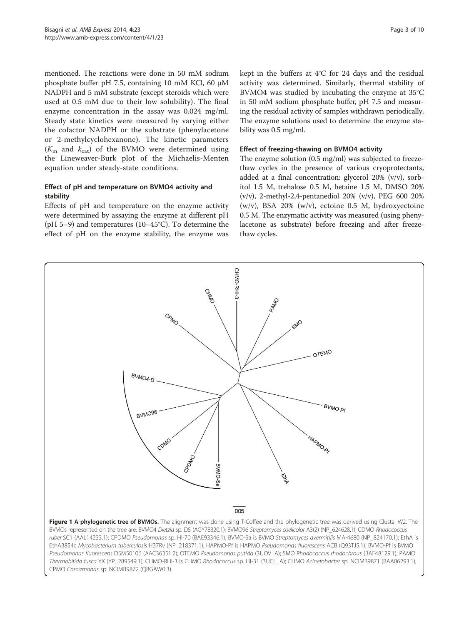<span id="page-2-0"></span>mentioned. The reactions were done in 50 mM sodium phosphate buffer pH 7.5, containing 10 mM KCl, 60 μM NADPH and 5 mM substrate (except steroids which were used at 0.5 mM due to their low solubility). The final enzyme concentration in the assay was 0.024 mg/ml. Steady state kinetics were measured by varying either the cofactor NADPH or the substrate (phenylacetone or 2-methylcyclohexanone). The kinetic parameters  $(K<sub>m</sub>$  and  $K<sub>cat</sub>)$  of the BVMO were determined using the Lineweaver-Burk plot of the Michaelis-Menten equation under steady-state conditions.

# Effect of pH and temperature on BVMO4 activity and stability

Effects of pH and temperature on the enzyme activity were determined by assaying the enzyme at different pH (pH 5–9) and temperatures (10–45°C). To determine the effect of pH on the enzyme stability, the enzyme was kept in the buffers at 4°C for 24 days and the residual activity was determined. Similarly, thermal stability of BVMO4 was studied by incubating the enzyme at 35°C in 50 mM sodium phosphate buffer, pH 7.5 and measuring the residual activity of samples withdrawn periodically. The enzyme solutions used to determine the enzyme stability was 0.5 mg/ml.

### Effect of freezing-thawing on BVMO4 activity

The enzyme solution (0.5 mg/ml) was subjected to freezethaw cycles in the presence of various cryoprotectants, added at a final concentration: glycerol 20% (v/v), sorbitol 1.5 M, trehalose 0.5 M, betaine 1.5 M, DMSO 20% (v/v), 2-methyl-2,4-pentanediol 20% (v/v), PEG 600 20%  $(w/v)$ , BSA 20%  $(w/v)$ , ectoine 0.5 M, hydroxyectoine 0.5 M. The enzymatic activity was measured (using phenylacetone as substrate) before freezing and after freezethaw cycles.

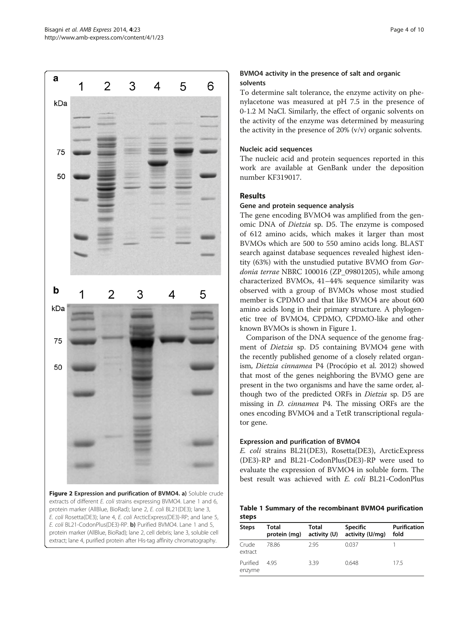<span id="page-3-0"></span>

Figure 2 Expression and purification of BVMO4. a) Soluble crude extracts of different E. coli strains expressing BVMO4. Lane 1 and 6, protein marker (AllBlue, BioRad); lane 2, E. coli BL21(DE3); lane 3, E. coli Rosetta(DE3); lane 4, E. coli ArcticExpress(DE3)-RP; and lane 5, E. coli BL21-CodonPlus(DE3)-RP. b) Purified BVMO4. Lane 1 and 5, protein marker (AllBlue, BioRad); lane 2, cell debris; lane 3, soluble cell extract; lane 4, purified protein after His-tag affinity chromatography.

# BVMO4 activity in the presence of salt and organic solvents

To determine salt tolerance, the enzyme activity on phenylacetone was measured at pH 7.5 in the presence of 0-1.2 M NaCl. Similarly, the effect of organic solvents on the activity of the enzyme was determined by measuring the activity in the presence of 20% (v/v) organic solvents.

# Nucleic acid sequences

The nucleic acid and protein sequences reported in this work are available at GenBank under the deposition number KF319017.

# Results

# Gene and protein sequence analysis

The gene encoding BVMO4 was amplified from the genomic DNA of Dietzia sp. D5. The enzyme is composed of 612 amino acids, which makes it larger than most BVMOs which are 500 to 550 amino acids long. BLAST search against database sequences revealed highest identity (63%) with the unstudied putative BVMO from Gordonia terrae NBRC 100016 (ZP\_09801205), while among characterized BVMOs, 41–44% sequence similarity was observed with a group of BVMOs whose most studied member is CPDMO and that like BVMO4 are about 600 amino acids long in their primary structure. A phylogenetic tree of BVMO4, CPDMO, CPDMO-like and other known BVMOs is shown in Figure [1.](#page-2-0)

Comparison of the DNA sequence of the genome fragment of Dietzia sp. D5 containing BVMO4 gene with the recently published genome of a closely related organism, Dietzia cinnamea P4 (Procópio et al. [2012](#page-9-0)) showed that most of the genes neighboring the BVMO gene are present in the two organisms and have the same order, although two of the predicted ORFs in Dietzia sp. D5 are missing in D. cinnamea P4. The missing ORFs are the ones encoding BVMO4 and a TetR transcriptional regulator gene.

# Expression and purification of BVMO4

E. coli strains BL21(DE3), Rosetta(DE3), ArcticExpress (DE3)-RP and BL21-CodonPlus(DE3)-RP were used to evaluate the expression of BVMO4 in soluble form. The best result was achieved with E. coli BL21-CodonPlus

Table 1 Summary of the recombinant BVMO4 purification steps

| <b>Steps</b>       | <b>Total</b><br>protein (mg) | Total<br>activity (U) | <b>Specific</b><br>activity (U/mg) | <b>Purification</b><br>fold |  |  |
|--------------------|------------------------------|-----------------------|------------------------------------|-----------------------------|--|--|
| Crude<br>extract   | 78.86                        | 2.95                  | 0.037                              |                             |  |  |
| Purified<br>enzyme | 495                          | 3.39                  | 0.648                              | 175                         |  |  |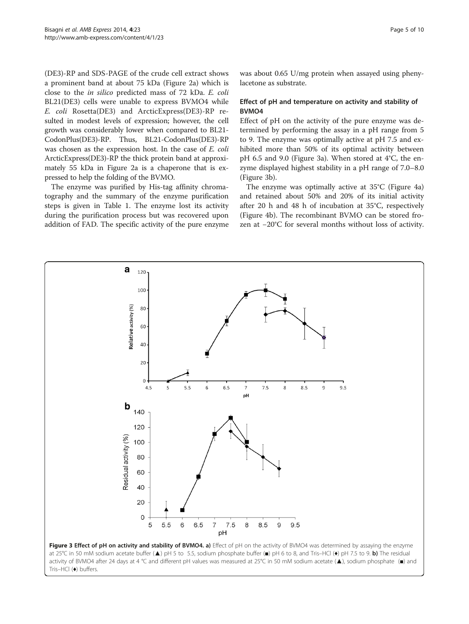(DE3)-RP and SDS-PAGE of the crude cell extract shows a prominent band at about 75 kDa (Figure [2a](#page-3-0)) which is close to the in silico predicted mass of 72 kDa. E. coli BL21(DE3) cells were unable to express BVMO4 while E. coli Rosetta(DE3) and ArcticExpress(DE3)-RP resulted in modest levels of expression; however, the cell growth was considerably lower when compared to BL21- CodonPlus(DE3)-RP. Thus, BL21-CodonPlus(DE3)-RP was chosen as the expression host. In the case of E. coli ArcticExpress(DE3)-RP the thick protein band at approximately 55 kDa in Figure [2](#page-3-0)a is a chaperone that is expressed to help the folding of the BVMO.

The enzyme was purified by His-tag affinity chromatography and the summary of the enzyme purification steps is given in Table [1.](#page-3-0) The enzyme lost its activity during the purification process but was recovered upon addition of FAD. The specific activity of the pure enzyme was about 0.65 U/mg protein when assayed using phenylacetone as substrate.

# Effect of pH and temperature on activity and stability of BVMO4

Effect of pH on the activity of the pure enzyme was determined by performing the assay in a pH range from 5 to 9. The enzyme was optimally active at pH 7.5 and exhibited more than 50% of its optimal activity between pH 6.5 and 9.0 (Figure 3a). When stored at 4°C, the enzyme displayed highest stability in a pH range of 7.0–8.0 (Figure 3b).

The enzyme was optimally active at 35°C (Figure [4](#page-5-0)a) and retained about 50% and 20% of its initial activity after 20 h and 48 h of incubation at 35°C, respectively (Figure [4](#page-5-0)b). The recombinant BVMO can be stored frozen at −20°C for several months without loss of activity.

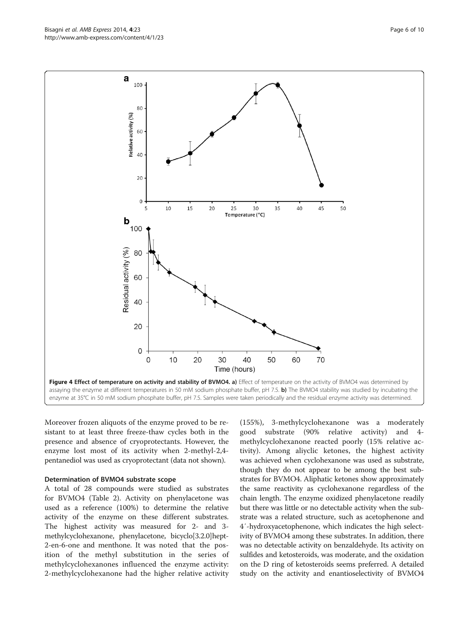Moreover frozen aliquots of the enzyme proved to be resistant to at least three freeze-thaw cycles both in the presence and absence of cryoprotectants. However, the enzyme lost most of its activity when 2-methyl-2,4 pentanediol was used as cryoprotectant (data not shown).

#### Determination of BVMO4 substrate scope

A total of 28 compounds were studied as substrates for BVMO4 (Table [2\)](#page-6-0). Activity on phenylacetone was used as a reference (100%) to determine the relative activity of the enzyme on these different substrates. The highest activity was measured for 2- and 3 methylcyclohexanone, phenylacetone, bicyclo[3.2.0]hept-2-en-6-one and menthone. It was noted that the position of the methyl substitution in the series of methylcyclohexanones influenced the enzyme activity: 2-methylcyclohexanone had the higher relative activity

(155%), 3-methylcyclohexanone was a moderately good substrate (90% relative activity) and 4 methylcyclohexanone reacted poorly (15% relative activity). Among aliyclic ketones, the highest activity was achieved when cyclohexanone was used as substrate, though they do not appear to be among the best substrates for BVMO4. Aliphatic ketones show approximately the same reactivity as cyclohexanone regardless of the chain length. The enzyme oxidized phenylacetone readily but there was little or no detectable activity when the substrate was a related structure, such as acetophenone and 4′-hydroxyacetophenone, which indicates the high selectivity of BVMO4 among these substrates. In addition, there was no detectable activity on benzaldehyde. Its activity on sulfides and ketosteroids, was moderate, and the oxidation on the D ring of ketosteroids seems preferred. A detailed study on the activity and enantioselectivity of BVMO4

<span id="page-5-0"></span>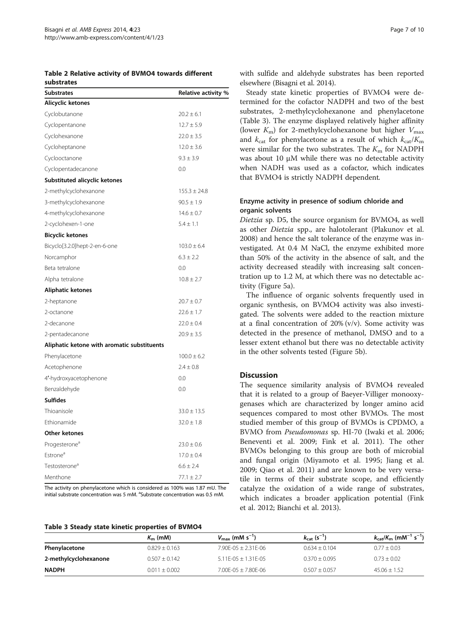<span id="page-6-0"></span>Table 2 Relative activity of BVMO4 towards different substrates

| <b>Substrates</b>                           | Relative activity % |
|---------------------------------------------|---------------------|
| Alicyclic ketones                           |                     |
| Cyclobutanone                               | $20.2 \pm 6.1$      |
| Cyclopentanone                              | $12.7 \pm 5.9$      |
| Cyclohexanone                               | $22.0 \pm 3.5$      |
| Cycloheptanone                              | $12.0 \pm 3.6$      |
| Cyclooctanone                               | $9.3 \pm 3.9$       |
| Cyclopentadecanone                          | 0.0                 |
| Substituted alicyclic ketones               |                     |
| 2-methylcyclohexanone                       | $155.3 \pm 24.8$    |
| 3-methylcyclohexanone                       | $90.5 \pm 1.9$      |
| 4-methylcyclohexanone                       | $14.6 \pm 0.7$      |
| 2-cyclohexen-1-one                          | $5.4 \pm 1.1$       |
| <b>Bicyclic ketones</b>                     |                     |
| Bicyclo[3.2.0]hept-2-en-6-one               | $103.0 \pm 6.4$     |
| Norcamphor                                  | $6.3 \pm 2.2$       |
| Beta tetralone                              | 0.0                 |
| Alpha tetralone                             | $10.8 \pm 2.7$      |
| Aliphatic ketones                           |                     |
| 2-heptanone                                 | $20.7 \pm 0.7$      |
| 2-octanone                                  | $22.6 \pm 1.7$      |
| 2-decanone                                  | $22.0 \pm 0.4$      |
| 2-pentadecanone                             | $20.9 \pm 3.5$      |
| Aliphatic ketone with aromatic substituents |                     |
| Phenylacetone                               | $100.0 \pm 6.2$     |
| Acetophenone                                | $2.4 \pm 0.8$       |
| 4'-hydroxyacetophenone                      | 0.0                 |
| Benzaldehyde                                | 0.0                 |
| <b>Sulfides</b>                             |                     |
| Thioanisole                                 | $33.0 \pm 13.5$     |
| Ethionamide                                 | $32.0 \pm 1.8$      |
| <b>Other ketones</b>                        |                     |
| Progesterone <sup>a</sup>                   | $23.0 \pm 0.6$      |
| Estrone <sup>a</sup>                        | $17.0 \pm 0.4$      |
| Testosterone <sup>a</sup>                   | $6.6 \pm 2.4$       |
| Menthone                                    | $77.1 \pm 2.7$      |

The activity on phenylacetone which is considered as 100% was 1.87 mU. The initial substrate concentration was 5 mM. <sup>a</sup>Substrate concentration was 0.5 mM.

with sulfide and aldehyde substrates has been reported elsewhere (Bisagni et al. [2014](#page-8-0)).

Steady state kinetic properties of BVMO4 were determined for the cofactor NADPH and two of the best substrates, 2-methylcyclohexanone and phenylacetone (Table 3). The enzyme displayed relatively higher affinity (lower  $K_{\rm m}$ ) for 2-methylcyclohexanone but higher  $V_{\rm max}$ and  $k_{\text{cat}}$  for phenylacetone as a result of which  $k_{\text{cat}}/K_{\text{m}}$ were similar for the two substrates. The  $K<sub>m</sub>$  for NADPH was about 10 μM while there was no detectable activity when NADH was used as a cofactor, which indicates that BVMO4 is strictly NADPH dependent.

## Enzyme activity in presence of sodium chloride and organic solvents

Dietzia sp. D5, the source organism for BVMO4, as well as other Dietzia spp., are halotolerant (Plakunov et al. [2008](#page-9-0)) and hence the salt tolerance of the enzyme was investigated. At 0.4 M NaCl, the enzyme exhibited more than 50% of the activity in the absence of salt, and the activity decreased steadily with increasing salt concentration up to 1.2 M, at which there was no detectable activity (Figure [5a](#page-7-0)).

The influence of organic solvents frequently used in organic synthesis, on BVMO4 activity was also investigated. The solvents were added to the reaction mixture at a final concentration of  $20\%$  (v/v). Some activity was detected in the presence of methanol, DMSO and to a lesser extent ethanol but there was no detectable activity in the other solvents tested (Figure [5b](#page-7-0)).

# Discussion

The sequence similarity analysis of BVMO4 revealed that it is related to a group of Baeyer-Villiger monooxygenases which are characterized by longer amino acid sequences compared to most other BVMOs. The most studied member of this group of BVMOs is CPDMO, a BVMO from Pseudomonas sp. HI-70 (Iwaki et al. [2006](#page-9-0); Beneventi et al. [2009](#page-8-0); Fink et al. [2011\)](#page-9-0). The other BVMOs belonging to this group are both of microbial and fungal origin (Miyamoto et al. [1995](#page-9-0); Jiang et al. [2009](#page-9-0); Qiao et al. [2011\)](#page-9-0) and are known to be very versatile in terms of their substrate scope, and efficiently catalyze the oxidation of a wide range of substrates, which indicates a broader application potential (Fink et al. [2012;](#page-9-0) Bianchi et al. [2013\)](#page-8-0).

| Table 3 Steady state kinetic properties of BVMO4 |  |  |  |  |
|--------------------------------------------------|--|--|--|--|
|--------------------------------------------------|--|--|--|--|

|                       | $K_{\rm m}$ (mM)  | $V_{\rm max}$ (mM s <sup>-1</sup> ) | $k_{\text{cat}}$ (s <sup>-1</sup> ) | $k_{\text{cat}}/K_{\text{m}}$ (mM <sup>-1</sup> s <sup>-1</sup> ) |
|-----------------------|-------------------|-------------------------------------|-------------------------------------|-------------------------------------------------------------------|
| Phenylacetone         | $0.829 + 0.163$   | $7.90F - 05 + 2.31F - 06$           | $0.634 + 0.104$                     | $0.77 + 0.03$                                                     |
| 2-methylcyclohexanone | $0.507 + 0.142$   | $5.11E-05 \pm 1.31E-05$             | $0.370 + 0.095$                     | $0.73 + 0.02$                                                     |
| <b>NADPH</b>          | $0.011 \pm 0.002$ | $7.00F - 05 + 7.80F - 06$           | $0.507 \pm 0.057$                   | $45.06 \pm 1.52$                                                  |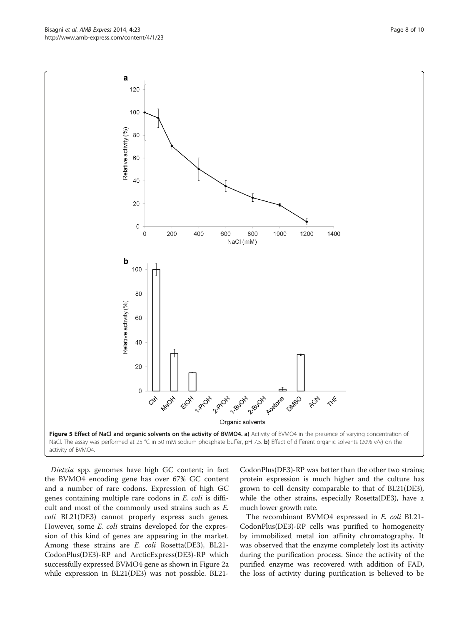Dietzia spp. genomes have high GC content; in fact the BVMO4 encoding gene has over 67% GC content and a number of rare codons. Expression of high GC genes containing multiple rare codons in E. coli is difficult and most of the commonly used strains such as E. coli BL21(DE3) cannot properly express such genes. However, some *E. coli* strains developed for the expression of this kind of genes are appearing in the market. Among these strains are E. coli Rosetta(DE3), BL21- CodonPlus(DE3)-RP and ArcticExpress(DE3)-RP which successfully expressed BVMO4 gene as shown in Figure [2](#page-3-0)a while expression in BL21(DE3) was not possible. BL21-

CodonPlus(DE3)-RP was better than the other two strains; protein expression is much higher and the culture has grown to cell density comparable to that of BL21(DE3), while the other strains, especially Rosetta(DE3), have a much lower growth rate.

The recombinant BVMO4 expressed in E. coli BL21- CodonPlus(DE3)-RP cells was purified to homogeneity by immobilized metal ion affinity chromatography. It was observed that the enzyme completely lost its activity during the purification process. Since the activity of the purified enzyme was recovered with addition of FAD, the loss of activity during purification is believed to be

<span id="page-7-0"></span>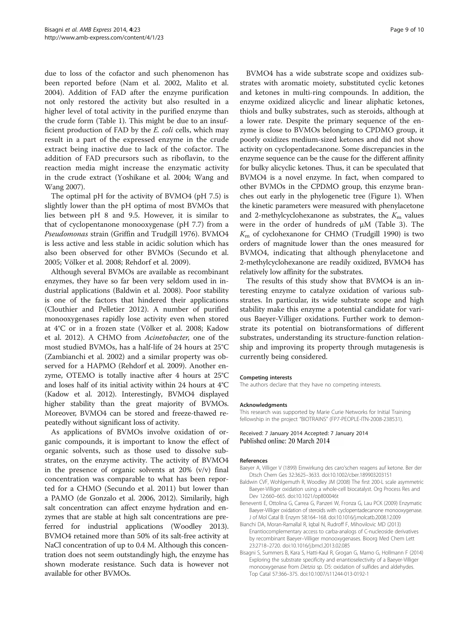<span id="page-8-0"></span>due to loss of the cofactor and such phenomenon has been reported before (Nam et al. [2002,](#page-9-0) Malito et al. [2004](#page-9-0)). Addition of FAD after the enzyme purification not only restored the activity but also resulted in a higher level of total activity in the purified enzyme than the crude form (Table [1](#page-3-0)). This might be due to an insufficient production of FAD by the E. coli cells, which may result in a part of the expressed enzyme in the crude extract being inactive due to lack of the cofactor. The addition of FAD precursors such as riboflavin, to the reaction media might increase the enzymatic activity in the crude extract (Yoshikane et al. [2004](#page-9-0); Wang and Wang [2007\)](#page-9-0).

The optimal pH for the activity of BVMO4 (pH 7.5) is slightly lower than the pH optima of most BVMOs that lies between pH 8 and 9.5. However, it is similar to that of cyclopentanone monooxygenase (pH 7.7) from a Pseudomonas strain (Griffin and Trudgill [1976\)](#page-9-0). BVMO4 is less active and less stable in acidic solution which has also been observed for other BVMOs (Secundo et al. [2005](#page-9-0); Völker et al. [2008;](#page-9-0) Rehdorf et al. [2009\)](#page-9-0).

Although several BVMOs are available as recombinant enzymes, they have so far been very seldom used in industrial applications (Baldwin et al. 2008). Poor stability is one of the factors that hindered their applications (Clouthier and Pelletier [2012\)](#page-9-0). A number of purified monooxygenases rapidly lose activity even when stored at 4°C or in a frozen state (Völker et al. [2008;](#page-9-0) Kadow et al. [2012](#page-9-0)). A CHMO from Acinetobacter, one of the most studied BVMOs, has a half-life of 24 hours at 25°C (Zambianchi et al. [2002](#page-9-0)) and a similar property was observed for a HAPMO (Rehdorf et al. [2009\)](#page-9-0). Another enzyme, OTEMO is totally inactive after 4 hours at 25°C and loses half of its initial activity within 24 hours at 4°C (Kadow et al. [2012\)](#page-9-0). Interestingly, BVMO4 displayed higher stability than the great majority of BVMOs. Moreover, BVMO4 can be stored and freeze-thawed repeatedly without significant loss of activity.

As applications of BVMOs involve oxidation of organic compounds, it is important to know the effect of organic solvents, such as those used to dissolve substrates, on the enzyme activity. The activity of BVMO4 in the presence of organic solvents at  $20\%$  (v/v) final concentration was comparable to what has been reported for a CHMO (Secundo et al. [2011](#page-9-0)) but lower than a PAMO (de Gonzalo et al. [2006, 2012](#page-9-0)). Similarily, high salt concentration can affect enzyme hydration and enzymes that are stable at high salt concentrations are preferred for industrial applications (Woodley [2013](#page-9-0)). BVMO4 retained more than 50% of its salt-free activity at NaCl concentration of up to 0.4 M. Although this concentration does not seem outstandingly high, the enzyme has shown moderate resistance. Such data is however not available for other BVMOs.

BVMO4 has a wide substrate scope and oxidizes substrates with aromatic moiety, substituted cyclic ketones and ketones in multi-ring compounds. In addition, the enzyme oxidized alicyclic and linear aliphatic ketones, thiols and bulky substrates, such as steroids, although at a lower rate. Despite the primary sequence of the enzyme is close to BVMOs belonging to CPDMO group, it poorly oxidizes medium-sized ketones and did not show activity on cyclopentadecanone. Some discrepancies in the enzyme sequence can be the cause for the different affinity for bulky alicyclic ketones. Thus, it can be speculated that BVMO4 is a novel enzyme. In fact, when compared to other BVMOs in the CPDMO group, this enzyme branches out early in the phylogenetic tree (Figure [1\)](#page-2-0). When the kinetic parameters were measured with phenylacetone and 2-methylcyclohexanone as substrates, the  $K<sub>m</sub>$  values were in the order of hundreds of μM (Table [3\)](#page-6-0). The  $K<sub>m</sub>$  of cyclohexanone for CHMO (Trudgill [1990\)](#page-9-0) is two orders of magnitude lower than the ones measured for BVMO4, indicating that although phenylacetone and 2-methylcyclohexanone are readily oxidized, BVMO4 has relatively low affinity for the substrates.

The results of this study show that BVMO4 is an interesting enzyme to catalyze oxidation of various substrates. In particular, its wide substrate scope and high stability make this enzyme a potential candidate for various Baeyer-Villiger oxidations. Further work to demonstrate its potential on biotransformations of different substrates, understanding its structure-function relationship and improving its property through mutagenesis is currently being considered.

#### Competing interests

The authors declare that they have no competing interests.

#### Acknowledgments

This research was supported by Marie Curie Networks for Initial Training fellowship in the project "BIOTRAINS" (FP7-PEOPLE-ITN-2008-238531).

Received: 7 January 2014 Accepted: 7 January 2014 Published online: 20 March 2014

#### References

- Baeyer A, Villiger V (1899) Einwirkung des caro'schen reagens auf ketone. Ber der Dtsch Chem Ges 32:3625–3633. doi:10.1002/cber.189903203151
- Baldwin CVF, Wohlgemuth R, Woodley JM (2008) The first 200-L scale asymmetric Baeyer-Villiger oxidation using a whole-cell biocatalyst. Org Process Res and Dev 12:660–665. doi:10.1021/op800046t
- Beneventi E, Ottolina G, Carrea G, Panzeri W, Fronza G, Lau PCK (2009) Enzymatic Baeyer-Villiger oxidation of steroids with cyclopentadecanone monooxygenase. J of Mol Catal B: Enzym 58:164–168. doi:10.1016/j.molcatb.2008.12.009
- Bianchi DA, Moran-Ramallal R, Iqbal N, Rudroff F, Mihovilovic MD (2013) Enantiocomplementary access to carba-analogs of C-nucleoside derivatives by recombinant Baeyer–Villiger monooxygenases. Bioorg Med Chem Lett 23:2718–2720. doi:10.1016/j.bmcl.2013.02.085
- Bisagni S, Summers B, Kara S, Hatti-Kaul R, Grogan G, Mamo G, Hollmann F (2014) Exploring the substrate specificity and enantioselectivity of a Baeyer-Villiger monooxygenase from Dietzia sp. D5: oxidation of sulfides and aldehydes. Top Catal 57:366–375. doi:10.1007/s11244-013-0192-1